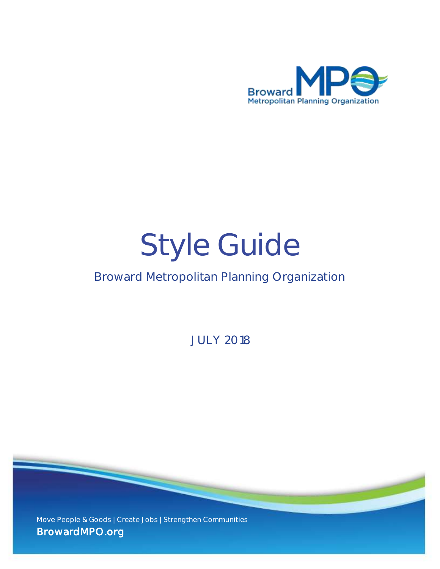

# Style Guide

## Broward Metropolitan Planning Organization

JULY 2018

Move People & Goods | Create Jobs | Strengthen Communities **BrowardMPO.org**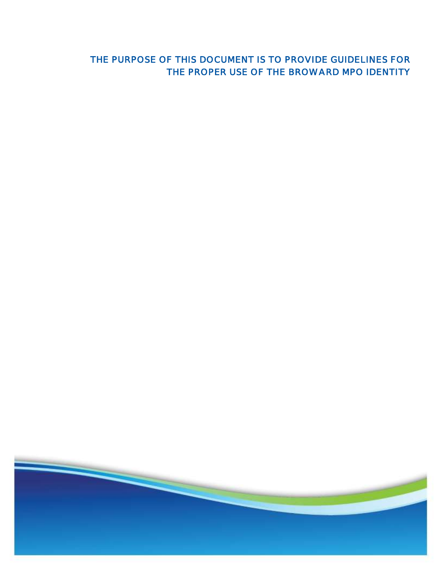## **THE PURPOSE OF THIS DOCUMENT IS TO PROVIDE GUIDELINES FOR THE PROPER USE OF THE BROWARD MPO IDENTITY**

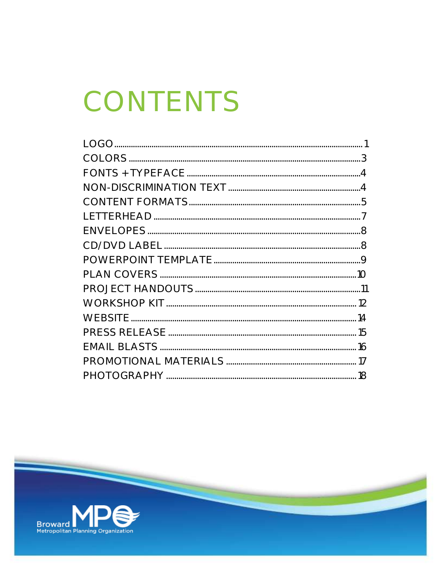## CONTENTS

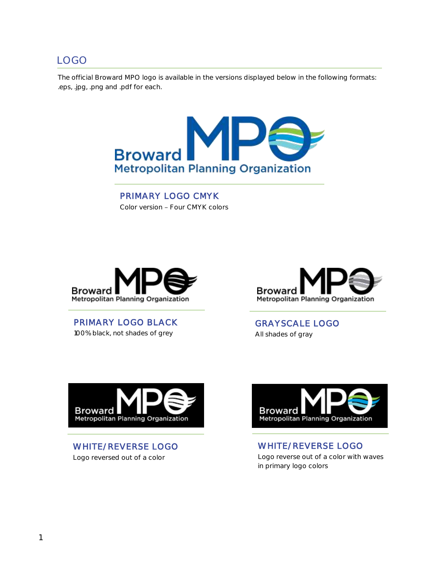#### LOGO

The official Broward MPO logo is available in the versions displayed below in the following formats: .eps, .jpg, .png and .pdf for each.



**PRIMARY LOGO CMYK**  Color version - Four CMYK colors



**PRIMARY LOGO BLACK**  100% black, not shades of grey



**GRAYSCALE LOGO**  All shades of gray



**WHITE/REVERSE LOGO** Logo reversed out of a color



**WHITE/REVERSE LOGO** Logo reverse out of a color with waves in primary logo colors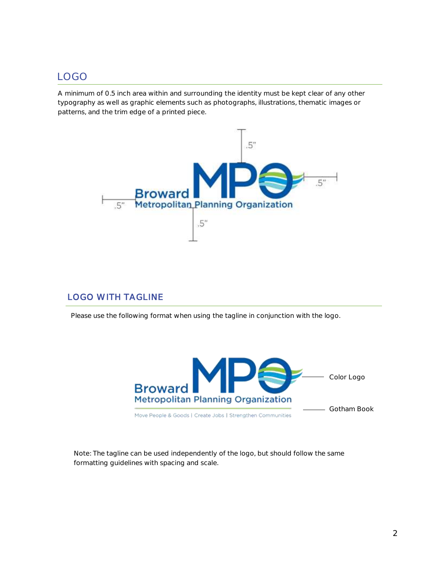## LOGO

A minimum of 0.5 inch area within and surrounding the identity must be kept clear of any other typography as well as graphic elements such as photographs, illustrations, thematic images or patterns, and the trim edge of a printed piece.



#### **LOGO WITH TAGLINE**

Please use the following format when using the tagline in conjunction with the logo.



*Note: The tagline can be used independently of the logo, but should follow the same formatting guidelines with spacing and scale.*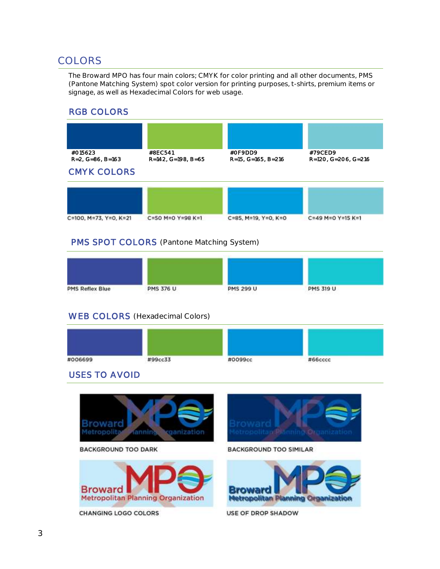## COLORS

The Broward MPO has four main colors; CMYK for color printing and all other documents, PMS (Pantone Matching System) spot color version for printing purposes, t-shirts, premium items or signage, as well as Hexadecimal Colors for web usage.

#### **RGB COLORS**



#### **PMS SPOT COLORS** (Pantone Matching System)

| <b>PMS Reflex Blue</b> | <b>PMS 376 U</b> | PMS 299 U | <b>PMS 319 U</b> |  |
|------------------------|------------------|-----------|------------------|--|

#### **WEB COLORS** (Hexadecimal Colors)



#### **USES TO AVOID**

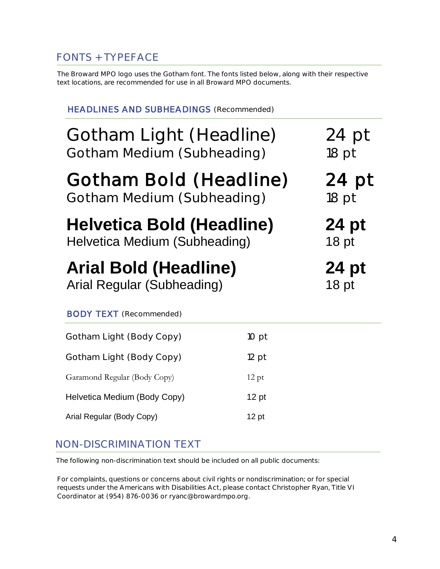## FONTS + TYPEFACE

The Broward MPO logo uses the Gotham font. The fonts listed below, along with their respective text locations, are recommended for use in all Broward MPO documents.

| <b>HEADLINES AND SUBHEADINGS (Recommended)</b>                                          |         |                  |  |  |
|-----------------------------------------------------------------------------------------|---------|------------------|--|--|
| Gotham Light (Headline)<br>$24$ pt<br>Gotham Medium (Subheading)<br>$18$ pt             |         |                  |  |  |
| Gotham Bold (Headline)<br>24 pt<br>Gotham Medium (Subheading)<br>18 pt                  |         |                  |  |  |
| Helvetica Bold (Headline)<br>24 pt<br>Helvetica Medium (Subheading)<br>18 <sub>pt</sub> |         |                  |  |  |
| <b>Arial Bold (Headline)</b>                                                            |         | 24 pt            |  |  |
| Arial Regular (Subheading)                                                              |         | 18 <sub>pt</sub> |  |  |
| <b>BODY TEXT</b> (Recommended)                                                          |         |                  |  |  |
| Gotham Light (Body Copy)                                                                | 10 pt   |                  |  |  |
| Gotham Light (Body Copy)                                                                | $12$ pt |                  |  |  |
| Garamond Regular (Body Copy)                                                            | $12$ pt |                  |  |  |
| Helvetica Medium (Body Copy)                                                            | $12$ pt |                  |  |  |

## NON-DISCRIMINATION TEXT

The following non-discrimination text should be included on all public documents:

For complaints, questions or concerns about civil rights or nondiscrimination; or for special requests under the Americans with Disabilities Act, please contact Christopher Ryan, Title VI Coordinator at (954) 876-0036 or ryanc@browardmpo.org.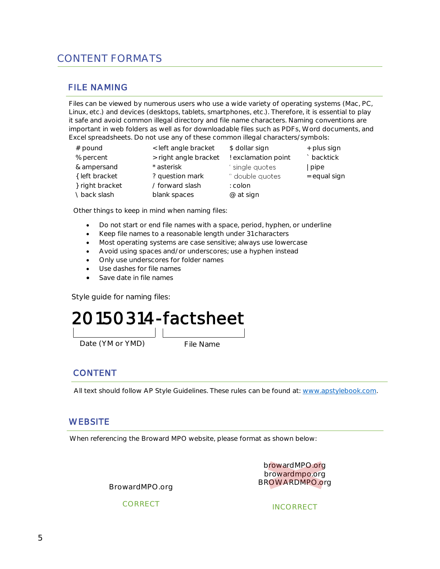## CONTENT FORMATS

#### **FILE NAMING**

Files can be viewed by numerous users who use a wide variety of operating systems (Mac, PC, Linux, etc.) and devices (desktops, tablets, smartphones, etc.). Therefore, it is essential to play it safe and avoid common illegal directory and file name characters. Naming conventions are important in web folders as well as for downloadable files such as PDFs, Word documents, and Excel spreadsheets. Do not use any of these common illegal characters/symbols:

| $#$ pound       | < left angle bracket  | \$ dollar sign      | + plus sign  |
|-----------------|-----------------------|---------------------|--------------|
| % percent       | > right angle bracket | ! exclamation point | ` backtick   |
| & ampersand     | * asterisk            | single quotes       | pipe         |
| { left bracket  | ? question mark       | " double quotes     | = equal sign |
| } right bracket | / forward slash       | : colon             |              |
| \back slash     | blank spaces          | @ at sign           |              |

Other things to keep in mind when naming files:

- Do not start or end file names with a space, period, hyphen, or underline
- Keep file names to a reasonable length under 31 characters
- Most operating systems are case sensitive; always use lowercase
- Avoid using spaces and/or underscores; use a hyphen instead
- Only use underscores for folder names
- Use dashes for file names
- Save date in file names

Style guide for naming files:

## **20150314-factsheet**

Date (YM or YMD) File Name

#### **CONTENT**

All text should follow AP Style Guidelines. These rules can be found at: [www.apstylebook.com.](https://www.apstylebook.com/)

#### **WEBSITE**

When referencing the Broward MPO website, please format as shown below:

browardMPO.org browardmpo.org BROWARDMPO.org

BrowardMPO.org

CORRECT

INCORRECT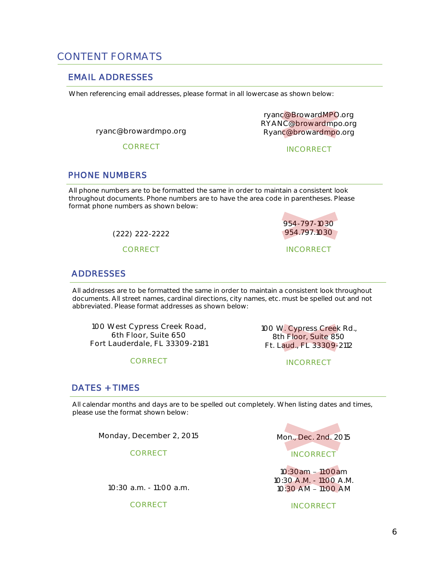### CONTENT FORMATS

#### **EMAIL ADDRESSES**

When referencing email addresses, please format in all lowercase as shown below:

ryanc@browardmpo.org

CORRECT

ryanc@BrowardMPO.org RYANC@browardmpo.org Ryanc@browardmpo.org

INCORRECT

954-797-1030 954.797.1030

INCORRECT

#### **PHONE NUMBERS**

All phone numbers are to be formatted the same in order to maintain a consistent look throughout documents. Phone numbers are to have the area code in parentheses. Please format phone numbers as shown below:

(222) 222-2222

CORRECT



All addresses are to be formatted the same in order to maintain a consistent look throughout documents. All street names, cardinal directions, city names, etc. must be spelled out and not abbreviated. Please format addresses as shown below:

100 West Cypress Creek Road, 6th Floor, Suite 650 Fort Lauderdale, FL 33309-2181

CORRECT

100 W. Cypress Creek Rd., 8th Floor, Suite 850 Ft. Laud., FL 33309-2112

INCORRECT

#### **DATES + TIMES**

All calendar months and days are to be spelled out completely. When listing dates and times, please use the format shown below:

Monday, December 2, 2015

CORRECT

10:30 a.m. - 11:00 a.m.

CORRECT



10:30am - 11:00am 10:30 A.M. - 11:00 A.M. 10:30 AM - 11:00 AM

**INCORRECT**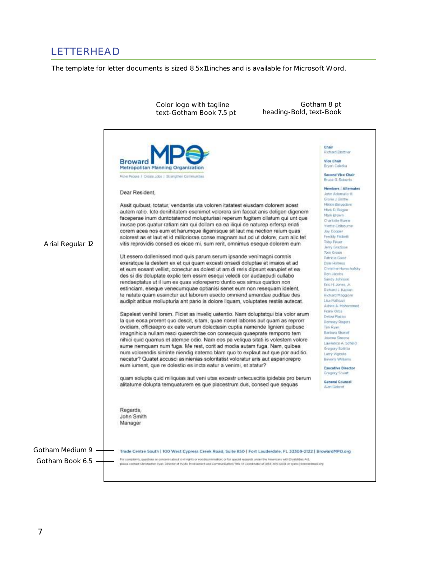## LETTERHEAD

The template for letter documents is sized 8.5x11 inches and is available for Microsoft Word.

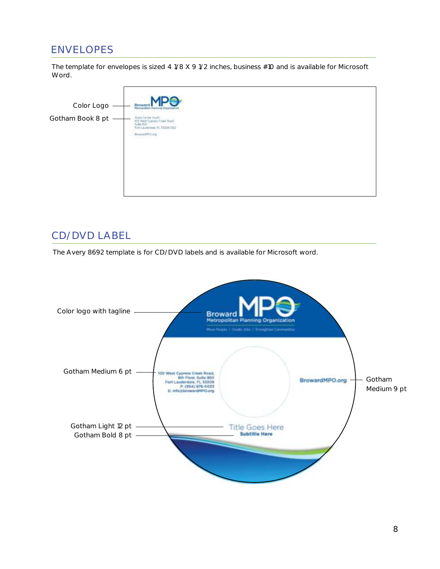## ENVELOPES

The template for envelopes is sized 4 1/8 X 9 1/2 inches, business #10 and is available for Microsoft Word.

| Color Logo       | <b>Broward Mania Brancore</b>                                                                                                                           |
|------------------|---------------------------------------------------------------------------------------------------------------------------------------------------------|
| Gotham Book 8 pt | Time Centre South<br>100 West Cypress Croek Road<br>1sete (500)<br>Turt Laurkratels TL 11303-2112<br>BrowntPEGorg<br>a material and which are the state |
|                  |                                                                                                                                                         |

### CD/DVD LABEL

The Avery 8692 template is for CD/DVD labels and is available for Microsoft word.

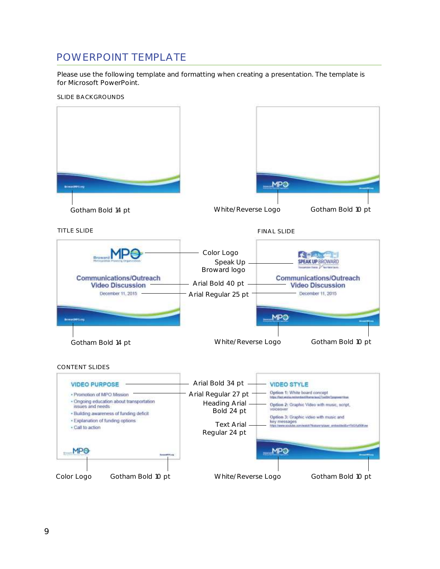## POWERPOINT TEMPLATE

Please use the following template and formatting when creating a presentation. The template is for Microsoft PowerPoint.

SLIDE BACKGROUNDS

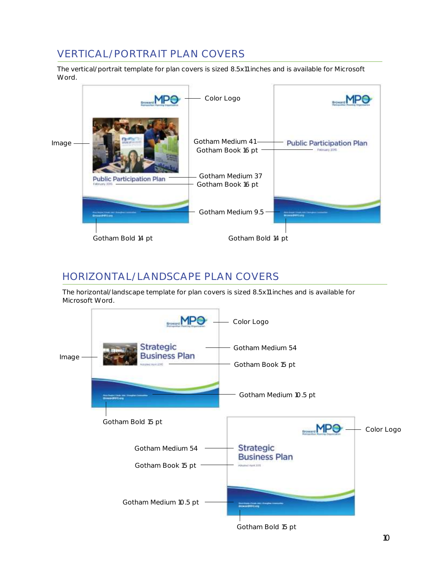## VERTICAL/PORTRAIT PLAN COVERS

The vertical/portrait template for plan covers is sized 8.5x11 inches and is available for Microsoft Word.

|       |                                                  | Color Logo                            |                                                    |
|-------|--------------------------------------------------|---------------------------------------|----------------------------------------------------|
| Image |                                                  | Gotham Medium 41<br>Gotham Book 16 pt | <b>Public Participation Plan</b><br>February 20th. |
|       | <b>Public Participation Plan</b><br>Fobruary 006 | Gotham Medium 37<br>Gotham Book 16 pt |                                                    |
|       |                                                  | Gotham Medium 9.5                     |                                                    |
|       | Gotham Bold 14 pt                                | Gotham Bold 14 pt                     |                                                    |

## HORIZONTAL/LANDSCAPE PLAN COVERS

The horizontal/landscape template for plan covers is sized 8.5x11 inches and is available for Microsoft Word.



Gotham Bold 15 pt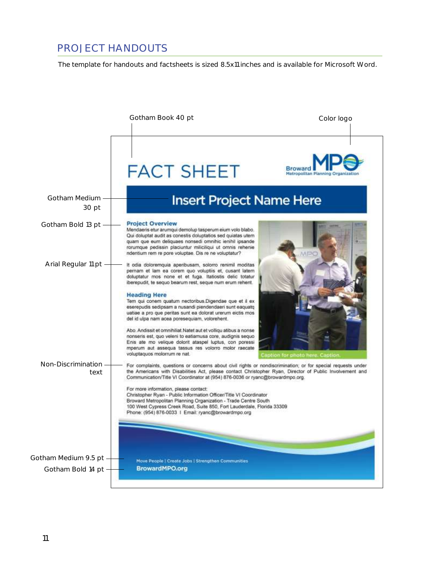## PROJECT HANDOUTS

The template for handouts and factsheets is sized 8.5x11 inches and is available for Microsoft Word.

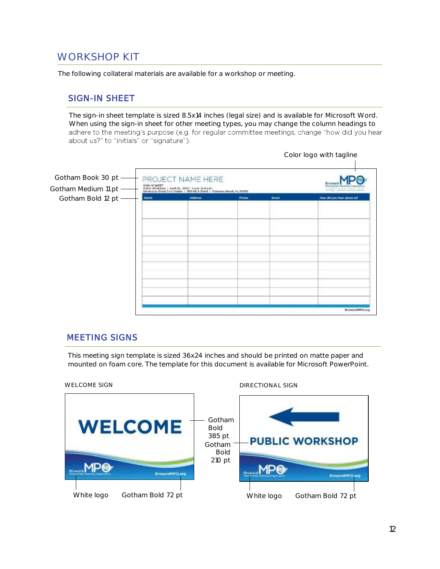## WORKSHOP KIT

The following collateral materials are available for a workshop or meeting.

#### **SIGN-IN SHEET**

The sign-in sheet template is sized 8.5x14 inches (legal size) and is available for Microsoft Word. When using the sign-in sheet for other meeting types, you may change the column headings to adhere to the meeting's purpose (e.g. for regular committee meetings, change "how did you hear about us?" to "initials" or "signature").



#### **MEETING SIGNS**

This meeting sign template is sized 36x24 inches and should be printed on matte paper and mounted on foam core. The template for this document is available for Microsoft PowerPoint.

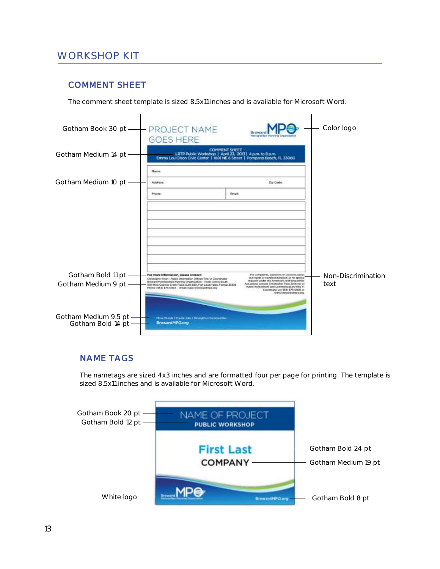## WORKSHOP KIT

#### **COMMENT SHEET**

The comment sheet template is sized 8.5x11 inches and is available for Microsoft Word.

| Gotham Book 30 pt                         | PROJECT NAME<br><b>GOES HERE</b>                                                                                                                                                                  |                                                                                  |                                                                                                                                                                                                                          | Color logo         |
|-------------------------------------------|---------------------------------------------------------------------------------------------------------------------------------------------------------------------------------------------------|----------------------------------------------------------------------------------|--------------------------------------------------------------------------------------------------------------------------------------------------------------------------------------------------------------------------|--------------------|
| Gotham Medium 14 pt                       |                                                                                                                                                                                                   | <b>COMMENT SHEET</b><br>LRTP Public Workshop   April 23, 2013   4 p.m. to 8 p.m. | Emma Lou Olson Civic Center   1801 NE 6 Street   Pompano Beach, FL 33060                                                                                                                                                 |                    |
|                                           | Name:                                                                                                                                                                                             |                                                                                  |                                                                                                                                                                                                                          |                    |
| Gotham Medium 10 pt                       | <b>Address</b>                                                                                                                                                                                    |                                                                                  | <b>Do Code</b>                                                                                                                                                                                                           |                    |
|                                           | Phone                                                                                                                                                                                             | Erraft                                                                           |                                                                                                                                                                                                                          |                    |
|                                           |                                                                                                                                                                                                   |                                                                                  |                                                                                                                                                                                                                          |                    |
| Gotham Bold 11 pt                         | For more information, please contact:<br>Christopher Ryan - Public Internation Officer/Title Vi Coordinator                                                                                       |                                                                                  | For cargulards, quadices or concerns about<br>civil rights or nondiscrimination; or for special                                                                                                                          | Non-Discrimination |
| Gotham Medium 9 pt                        | Broward Helingsellian Pianning Organization - Trude Centre South<br>100 Weet Cygress Creek Road, Suite 850, Fort Lauderdex, Florida 11309<br>Phone: (954) E76-0033   Email: ryano Abrowardmpo.org |                                                                                  | requests under the Americans with Doublins<br>Art, please contact Christopher Ryan, Director of<br>Public Insolvement and Communication/Title VI<br>Coursts star at 1954) 876-0036 an<br>in/are: il forcevaridingsic ong | text               |
| Gotham Medium 9.5 pt<br>Gotham Bold 14 pt | Myre Fessie   Deale Jim   Thungther Commenties<br>BrowardMPQ.org                                                                                                                                  |                                                                                  |                                                                                                                                                                                                                          |                    |

#### **NAME TAGS**

The nametags are sized 4x3 inches and are formatted four per page for printing. The template is sized 8.5x11 inches and is available for Microsoft Word.

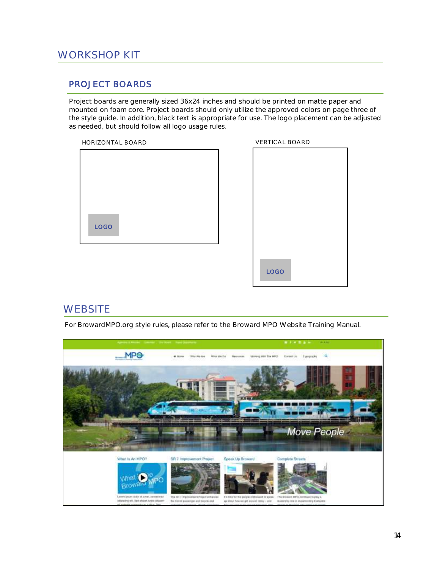#### **PROJECT BOARDS**

Project boards are generally sized 36x24 inches and should be printed on matte paper and mounted on foam core. Project boards should only utilize the approved colors on page three of the style guide. In addition, black text is appropriate for use. The logo placement can be adjusted as needed, but should follow all logo usage rules.

HORIZONTAL BOARD



| <b>VERTICAL BOARD</b> |
|-----------------------|
|                       |
|                       |
|                       |
|                       |
|                       |
|                       |
|                       |
|                       |
|                       |
|                       |
|                       |
|                       |
|                       |
|                       |
|                       |
| LOGO                  |
|                       |
|                       |

#### **WEBSITE**

For BrowardMPO.org style rules, please refer to the Broward MPO Website Training Manual.

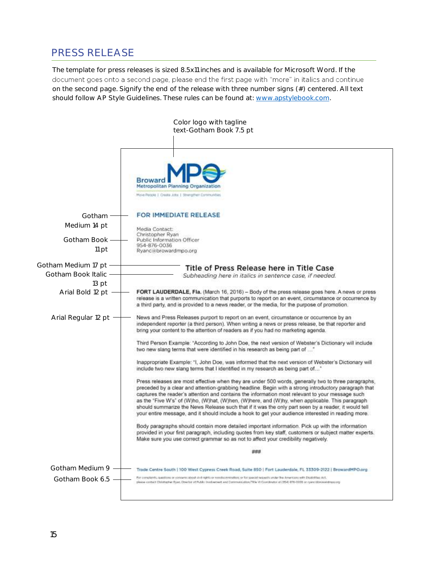## PRESS RELEASE

The template for press releases is sized 8.5x11 inches and is available for Microsoft Word. If the document goes onto a second page, please end the first page with "more" in italics and continue on the second page. Signify the end of the release with three number signs (#) centered. All text should follow AP Style Guidelines. These rules can be found at: [www.apstylebook.com.](https://www.apstylebook.com/)

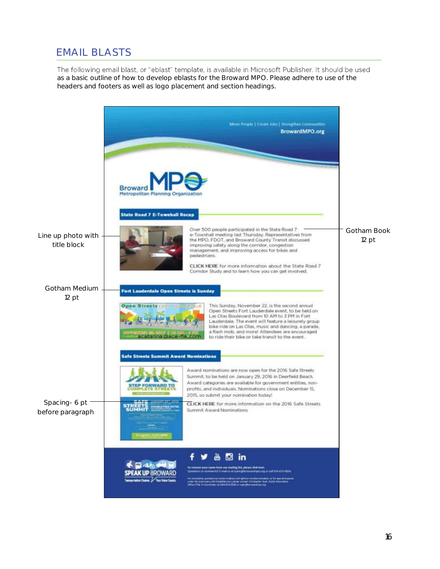## EMAIL BLASTS

The following email blast, or "eblast" template, is available in Microsoft Publisher. It should be used as a basic outline of how to develop eblasts for the Broward MPO. Please adhere to use of the headers and footers as well as logo placement and section headings.

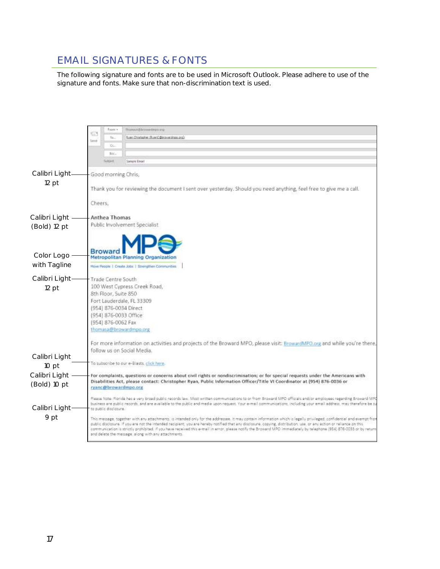## EMAIL SIGNATURES & FONTS

The following signature and fonts are to be used in Microsoft Outlook. Please adhere to use of the signature and fonts. Make sure that non-discrimination text is used.

|                |                                                                                                                                                                                                                                                             | From +                | TRUNKALA (S.Dromandmore.gr)                                                                                                                                                                                                                                                                                                                                                                                                                                                                                                                                                 |  |  |
|----------------|-------------------------------------------------------------------------------------------------------------------------------------------------------------------------------------------------------------------------------------------------------------|-----------------------|-----------------------------------------------------------------------------------------------------------------------------------------------------------------------------------------------------------------------------------------------------------------------------------------------------------------------------------------------------------------------------------------------------------------------------------------------------------------------------------------------------------------------------------------------------------------------------|--|--|
|                | c                                                                                                                                                                                                                                                           | <b>Ta.</b>            | Russi, Christopher, RussiC (Decouse drops, pro)                                                                                                                                                                                                                                                                                                                                                                                                                                                                                                                             |  |  |
|                | Teme                                                                                                                                                                                                                                                        | CC.                   |                                                                                                                                                                                                                                                                                                                                                                                                                                                                                                                                                                             |  |  |
|                |                                                                                                                                                                                                                                                             | Bic.                  |                                                                                                                                                                                                                                                                                                                                                                                                                                                                                                                                                                             |  |  |
|                |                                                                                                                                                                                                                                                             | <b>Subject</b>        | <b>Samure Email</b>                                                                                                                                                                                                                                                                                                                                                                                                                                                                                                                                                         |  |  |
| Calibri Light- |                                                                                                                                                                                                                                                             |                       |                                                                                                                                                                                                                                                                                                                                                                                                                                                                                                                                                                             |  |  |
| $12$ pt        | Good morning Chris,                                                                                                                                                                                                                                         |                       |                                                                                                                                                                                                                                                                                                                                                                                                                                                                                                                                                                             |  |  |
|                |                                                                                                                                                                                                                                                             |                       | Thank you for reviewing the document I sent over yesterday. Should you need anything, feel free to give me a call.                                                                                                                                                                                                                                                                                                                                                                                                                                                          |  |  |
|                |                                                                                                                                                                                                                                                             |                       |                                                                                                                                                                                                                                                                                                                                                                                                                                                                                                                                                                             |  |  |
|                | Cheers.                                                                                                                                                                                                                                                     |                       |                                                                                                                                                                                                                                                                                                                                                                                                                                                                                                                                                                             |  |  |
| Calibri Light  |                                                                                                                                                                                                                                                             | Anthea Thomas         |                                                                                                                                                                                                                                                                                                                                                                                                                                                                                                                                                                             |  |  |
| (Bold) 12 pt   |                                                                                                                                                                                                                                                             |                       | Public Involvement Specialist                                                                                                                                                                                                                                                                                                                                                                                                                                                                                                                                               |  |  |
|                |                                                                                                                                                                                                                                                             |                       |                                                                                                                                                                                                                                                                                                                                                                                                                                                                                                                                                                             |  |  |
|                |                                                                                                                                                                                                                                                             |                       |                                                                                                                                                                                                                                                                                                                                                                                                                                                                                                                                                                             |  |  |
| Color Logo     |                                                                                                                                                                                                                                                             |                       | Metropolitan Planning Organization                                                                                                                                                                                                                                                                                                                                                                                                                                                                                                                                          |  |  |
| with Tagline   |                                                                                                                                                                                                                                                             |                       | Move People   Craste Jobs   Strengthen Communities                                                                                                                                                                                                                                                                                                                                                                                                                                                                                                                          |  |  |
|                |                                                                                                                                                                                                                                                             |                       |                                                                                                                                                                                                                                                                                                                                                                                                                                                                                                                                                                             |  |  |
| Calibri Light  | Trade Centre South                                                                                                                                                                                                                                          |                       |                                                                                                                                                                                                                                                                                                                                                                                                                                                                                                                                                                             |  |  |
| $12$ pt        |                                                                                                                                                                                                                                                             | 8th Floor, Suite 850  | 100 West Cypress Creek Road,                                                                                                                                                                                                                                                                                                                                                                                                                                                                                                                                                |  |  |
|                |                                                                                                                                                                                                                                                             |                       | Fort Lauderdale, FL 33309                                                                                                                                                                                                                                                                                                                                                                                                                                                                                                                                                   |  |  |
|                |                                                                                                                                                                                                                                                             |                       | (954) 876-0034 Direct                                                                                                                                                                                                                                                                                                                                                                                                                                                                                                                                                       |  |  |
|                |                                                                                                                                                                                                                                                             |                       | (954) 876-0033 Office                                                                                                                                                                                                                                                                                                                                                                                                                                                                                                                                                       |  |  |
|                |                                                                                                                                                                                                                                                             | (954) 876-0062 Fax    | thomasa@browardmpo.org                                                                                                                                                                                                                                                                                                                                                                                                                                                                                                                                                      |  |  |
|                |                                                                                                                                                                                                                                                             |                       |                                                                                                                                                                                                                                                                                                                                                                                                                                                                                                                                                                             |  |  |
|                |                                                                                                                                                                                                                                                             |                       | For more information on activities and projects of the Broward MPO, please visit: BrowardMPD.org and while you're there,                                                                                                                                                                                                                                                                                                                                                                                                                                                    |  |  |
| Calibri Light  |                                                                                                                                                                                                                                                             |                       | follow us on Social Media.                                                                                                                                                                                                                                                                                                                                                                                                                                                                                                                                                  |  |  |
| 10 pt          |                                                                                                                                                                                                                                                             |                       | To subscribe to our e-Blasts, click here.                                                                                                                                                                                                                                                                                                                                                                                                                                                                                                                                   |  |  |
| Calibri Light  |                                                                                                                                                                                                                                                             |                       |                                                                                                                                                                                                                                                                                                                                                                                                                                                                                                                                                                             |  |  |
| (Bold) 10 pt   | For complaints, questions or concerns about civil rights or nondiscrimination; or for special requests under the Americans with<br>Disabilities Act, please contact: Christopher Ryan, Public Information Officer/Title VI Coordinator at (954) 876-0036 or |                       |                                                                                                                                                                                                                                                                                                                                                                                                                                                                                                                                                                             |  |  |
|                |                                                                                                                                                                                                                                                             |                       | ryanc@browardmpo.org                                                                                                                                                                                                                                                                                                                                                                                                                                                                                                                                                        |  |  |
|                |                                                                                                                                                                                                                                                             |                       | Please Note: Florida has a very broad public records law. Most written communications to or from Broward MPD officials and/or employees regarding Broward MPD                                                                                                                                                                                                                                                                                                                                                                                                               |  |  |
| Calibri Light- |                                                                                                                                                                                                                                                             | to public disclosure. | business are public records, and are available to the public and media upon request. Your e-mail communications, including your email address, may therefore be su                                                                                                                                                                                                                                                                                                                                                                                                          |  |  |
| 9 pt           |                                                                                                                                                                                                                                                             |                       | This message, together with any attachments, is intended only for the addressee. It may contain information which is legally privileged, confidential and exempt from<br>public disclosure. If you are not the intended recipient, you are hereby notified that any disclosure, copying, distribution, use, or any action or reliance on this<br>communication is strictly prohibited. If you have received this e-mail in error, please notify the Broward MPO immediately by telephone (954) 876-0033 or by return<br>and delete the message, along with any attachments. |  |  |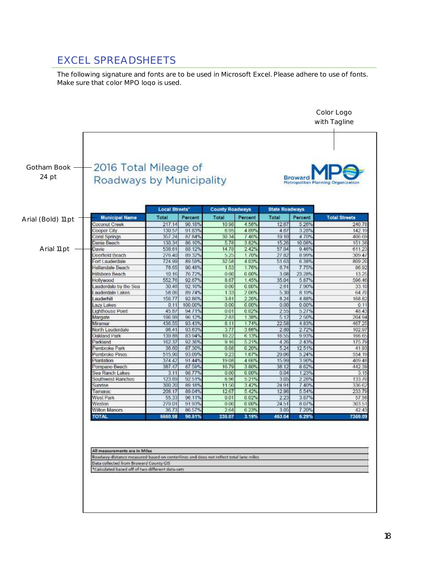## EXCEL SPREADSHEETS

The following signature and fonts are to be used in Microsoft Excel. Please adhere to use of fonts. Make sure that color MPO logo is used.

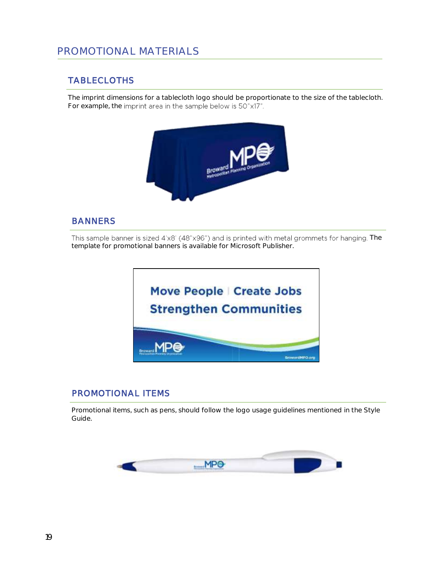### PROMOTIONAL MATERIALS

#### **TABLECLOTHS**

The imprint dimensions for a tablecloth logo should be proportionate to the size of the tablecloth. For example, the imprint area in the sample below is 50"x17".



#### **BANNERS**

This sample banner is sized 4'x8' (48"x96") and is printed with metal grommets for hanging. The template for promotional banners is available for Microsoft Publisher.



#### **PROMOTIONAL ITEMS**

Promotional items, such as pens, should follow the logo usage guidelines mentioned in the Style Guide.

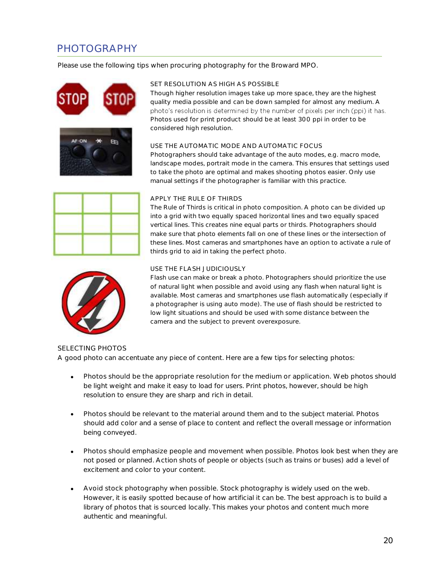## PHOTOGRAPHY

Please use the following tips when procuring photography for the Broward MPO.







#### SET RESOLUTION AS HIGH AS POSSIBLE

Though higher resolution images take up more space, they are the highest quality media possible and can be down sampled for almost any medium. A photo's resolution is determined by the number of pixels per inch (ppi) it has. Photos used for print product should be at least 300 ppi in order to be considered high resolution.

#### USE THE AUTOMATIC MODE AND AUTOMATIC FOCUS

Photographers should take advantage of the auto modes, e.g. macro mode, landscape modes, portrait mode in the camera. This ensures that settings used to take the photo are optimal and makes shooting photos easier. Only use manual settings if the photographer is familiar with this practice.

## APPLY THE RULE OF THIRDS

The Rule of Thirds is critical in photo composition. A photo can be divided up into a grid with two equally spaced horizontal lines and two equally spaced vertical lines. This creates nine equal parts or thirds. Photographers should make sure that photo elements fall on one of these lines or the intersection of these lines. Most cameras and smartphones have an option to activate a rule of thirds grid to aid in taking the perfect photo.



#### USE THE FLASH JUDICIOUSLY

Flash use can make or break a photo. Photographers should prioritize the use of natural light when possible and avoid using any flash when natural light is available. Most cameras and smartphones use flash automatically (especially if a photographer is using auto mode). The use of flash should be restricted to low light situations and should be used with some distance between the camera and the subject to prevent overexposure.

#### SELECTING PHOTOS A good photo can accentuate any piece of content. Here are a few tips for selecting photos:

- Photos should be the appropriate resolution for the medium or application. Web photos should be light weight and make it easy to load for users. Print photos, however, should be high resolution to ensure they are sharp and rich in detail.
- Photos should be relevant to the material around them and to the subject material. Photos should add color and a sense of place to content and reflect the overall message or information being conveyed.
- Photos should emphasize people and movement when possible. Photos look best when they are not posed or planned. Action shots of people or objects (such as trains or buses) add a level of excitement and color to your content.
- Avoid stock photography when possible. Stock photography is widely used on the web. However, it is easily spotted because of how artificial it can be. The best approach is to build a library of photos that is sourced locally. This makes your photos and content much more authentic and meaningful.